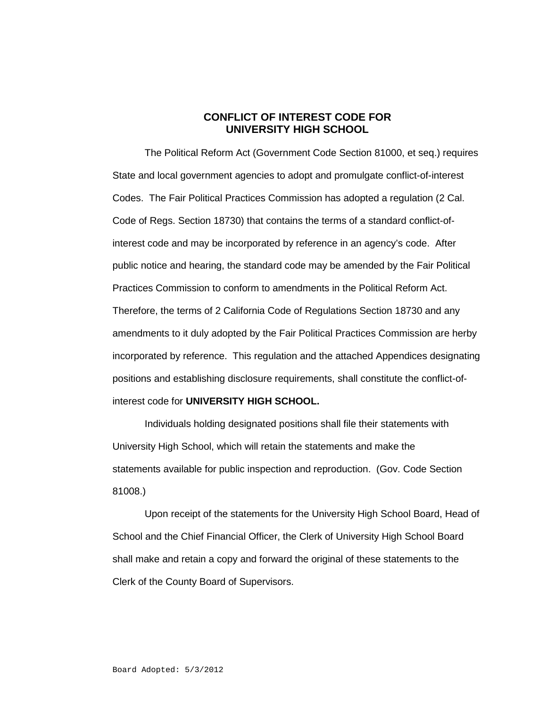## **CONFLICT OF INTEREST CODE FOR UNIVERSITY HIGH SCHOOL**

The Political Reform Act (Government Code Section 81000, et seq.) requires State and local government agencies to adopt and promulgate conflict-of-interest Codes. The Fair Political Practices Commission has adopted a regulation (2 Cal. Code of Regs. Section 18730) that contains the terms of a standard conflict-ofinterest code and may be incorporated by reference in an agency's code. After public notice and hearing, the standard code may be amended by the Fair Political Practices Commission to conform to amendments in the Political Reform Act. Therefore, the terms of 2 California Code of Regulations Section 18730 and any amendments to it duly adopted by the Fair Political Practices Commission are herby incorporated by reference. This regulation and the attached Appendices designating positions and establishing disclosure requirements, shall constitute the conflict-ofinterest code for **UNIVERSITY HIGH SCHOOL.**

Individuals holding designated positions shall file their statements with University High School, which will retain the statements and make the statements available for public inspection and reproduction. (Gov. Code Section 81008.)

Upon receipt of the statements for the University High School Board, Head of School and the Chief Financial Officer, the Clerk of University High School Board shall make and retain a copy and forward the original of these statements to the Clerk of the County Board of Supervisors.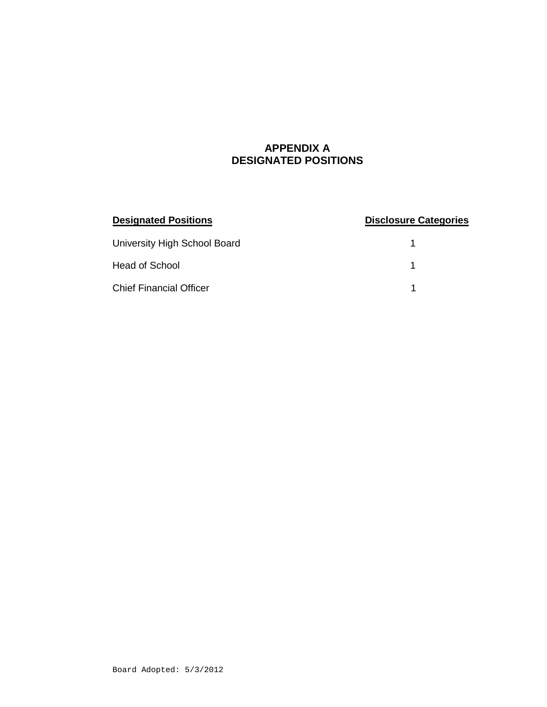## **APPENDIX A DESIGNATED POSITIONS**

| <b>Designated Positions</b>    | <b>Disclosure Categories</b> |
|--------------------------------|------------------------------|
| University High School Board   |                              |
| Head of School                 |                              |
| <b>Chief Financial Officer</b> |                              |